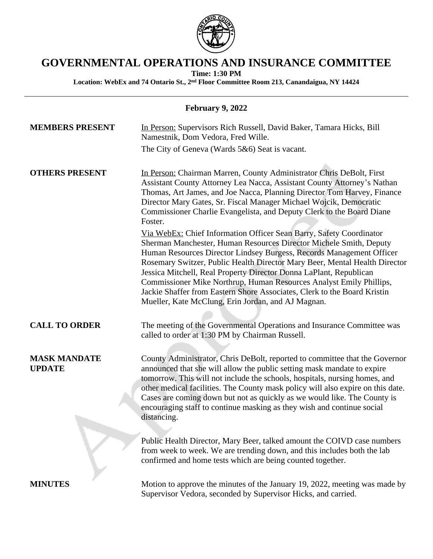

# **GOVERNMENTAL OPERATIONS AND INSURANCE COMMITTEE**

**Time: 1:30 PM**

**Location: WebEx and 74 Ontario St., 2nd Floor Committee Room 213, Canandaigua, NY 14424**

| <b>February 9, 2022</b>              |                                                                                                                                                                                                                                                                                                                                                                                                                                                                                                                                                                                |  |
|--------------------------------------|--------------------------------------------------------------------------------------------------------------------------------------------------------------------------------------------------------------------------------------------------------------------------------------------------------------------------------------------------------------------------------------------------------------------------------------------------------------------------------------------------------------------------------------------------------------------------------|--|
| <b>MEMBERS PRESENT</b>               | In Person: Supervisors Rich Russell, David Baker, Tamara Hicks, Bill<br>Namestnik, Dom Vedora, Fred Wille.                                                                                                                                                                                                                                                                                                                                                                                                                                                                     |  |
|                                      | The City of Geneva (Wards 5&6) Seat is vacant.                                                                                                                                                                                                                                                                                                                                                                                                                                                                                                                                 |  |
| <b>OTHERS PRESENT</b>                | In Person: Chairman Marren, County Administrator Chris DeBolt, First<br>Assistant County Attorney Lea Nacca, Assistant County Attorney's Nathan<br>Thomas, Art James, and Joe Nacca, Planning Director Tom Harvey, Finance<br>Director Mary Gates, Sr. Fiscal Manager Michael Wojcik, Democratic<br>Commissioner Charlie Evangelista, and Deputy Clerk to the Board Diane<br>Foster.                                                                                                                                                                                           |  |
|                                      | Via WebEx: Chief Information Officer Sean Barry, Safety Coordinator<br>Sherman Manchester, Human Resources Director Michele Smith, Deputy<br>Human Resources Director Lindsey Burgess, Records Management Officer<br>Rosemary Switzer, Public Health Director Mary Beer, Mental Health Director<br>Jessica Mitchell, Real Property Director Donna LaPlant, Republican<br>Commissioner Mike Northrup, Human Resources Analyst Emily Phillips,<br>Jackie Shaffer from Eastern Shore Associates, Clerk to the Board Kristin<br>Mueller, Kate McClung, Erin Jordan, and AJ Magnan. |  |
| <b>CALL TO ORDER</b>                 | The meeting of the Governmental Operations and Insurance Committee was<br>called to order at 1:30 PM by Chairman Russell.                                                                                                                                                                                                                                                                                                                                                                                                                                                      |  |
| <b>MASK MANDATE</b><br><b>UPDATE</b> | County Administrator, Chris DeBolt, reported to committee that the Governor<br>announced that she will allow the public setting mask mandate to expire<br>tomorrow. This will not include the schools, hospitals, nursing homes, and<br>other medical facilities. The County mask policy will also expire on this date.<br>Cases are coming down but not as quickly as we would like. The County is<br>encouraging staff to continue masking as they wish and continue social<br>distancing.                                                                                   |  |
|                                      | Public Health Director, Mary Beer, talked amount the COIVD case numbers<br>from week to week. We are trending down, and this includes both the lab<br>confirmed and home tests which are being counted together.                                                                                                                                                                                                                                                                                                                                                               |  |
| <b>MINUTES</b>                       | Motion to approve the minutes of the January 19, 2022, meeting was made by<br>Supervisor Vedora, seconded by Supervisor Hicks, and carried.                                                                                                                                                                                                                                                                                                                                                                                                                                    |  |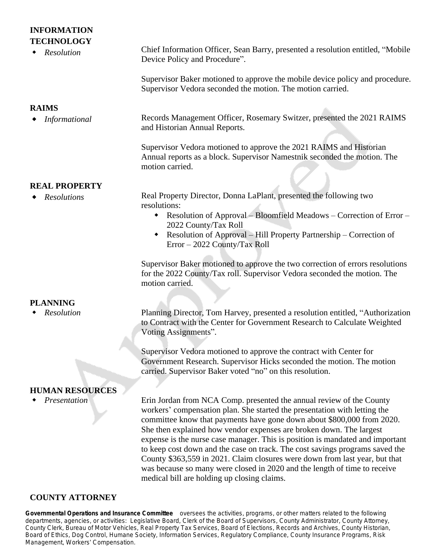### **INFORMATION TECHNOLOGY**

| <b>TECHNOLOGY</b><br>Resolution | Chief Information Officer, Sean Barry, presented a resolution entitled, "Mobile"<br>Device Policy and Procedure".                                                                                                                                                                                                                                                                                                                                                                                                                                                                                                               |
|---------------------------------|---------------------------------------------------------------------------------------------------------------------------------------------------------------------------------------------------------------------------------------------------------------------------------------------------------------------------------------------------------------------------------------------------------------------------------------------------------------------------------------------------------------------------------------------------------------------------------------------------------------------------------|
|                                 | Supervisor Baker motioned to approve the mobile device policy and procedure.<br>Supervisor Vedora seconded the motion. The motion carried.                                                                                                                                                                                                                                                                                                                                                                                                                                                                                      |
| <b>RAIMS</b>                    |                                                                                                                                                                                                                                                                                                                                                                                                                                                                                                                                                                                                                                 |
| Informational                   | Records Management Officer, Rosemary Switzer, presented the 2021 RAIMS<br>and Historian Annual Reports.                                                                                                                                                                                                                                                                                                                                                                                                                                                                                                                         |
|                                 | Supervisor Vedora motioned to approve the 2021 RAIMS and Historian<br>Annual reports as a block. Supervisor Namestnik seconded the motion. The<br>motion carried.                                                                                                                                                                                                                                                                                                                                                                                                                                                               |
| <b>REAL PROPERTY</b>            |                                                                                                                                                                                                                                                                                                                                                                                                                                                                                                                                                                                                                                 |
| <b>Resolutions</b>              | Real Property Director, Donna LaPlant, presented the following two<br>resolutions:                                                                                                                                                                                                                                                                                                                                                                                                                                                                                                                                              |
|                                 | Resolution of Approval – Bloomfield Meadows – Correction of Error –<br>2022 County/Tax Roll                                                                                                                                                                                                                                                                                                                                                                                                                                                                                                                                     |
|                                 | Resolution of Approval - Hill Property Partnership - Correction of<br>$\bullet$<br>Error - 2022 County/Tax Roll                                                                                                                                                                                                                                                                                                                                                                                                                                                                                                                 |
|                                 | Supervisor Baker motioned to approve the two correction of errors resolutions<br>for the 2022 County/Tax roll. Supervisor Vedora seconded the motion. The<br>motion carried.                                                                                                                                                                                                                                                                                                                                                                                                                                                    |
| <b>PLANNING</b>                 |                                                                                                                                                                                                                                                                                                                                                                                                                                                                                                                                                                                                                                 |
| Resolution                      | Planning Director, Tom Harvey, presented a resolution entitled, "Authorization<br>to Contract with the Center for Government Research to Calculate Weighted<br>Voting Assignments".                                                                                                                                                                                                                                                                                                                                                                                                                                             |
|                                 | Supervisor Vedora motioned to approve the contract with Center for<br>Government Research. Supervisor Hicks seconded the motion. The motion<br>carried. Supervisor Baker voted "no" on this resolution.                                                                                                                                                                                                                                                                                                                                                                                                                         |
| <b>HUMAN RESOURCES</b>          |                                                                                                                                                                                                                                                                                                                                                                                                                                                                                                                                                                                                                                 |
| Presentation                    | Erin Jordan from NCA Comp. presented the annual review of the County<br>workers' compensation plan. She started the presentation with letting the<br>committee know that payments have gone down about \$800,000 from 2020.<br>She then explained how vendor expenses are broken down. The largest<br>expense is the nurse case manager. This is position is mandated and important<br>to keep cost down and the case on track. The cost savings programs saved the<br>County \$363,559 in 2021. Claim closures were down from last year, but that<br>was because so many were closed in 2020 and the length of time to receive |
|                                 | medical bill are holding up closing claims.                                                                                                                                                                                                                                                                                                                                                                                                                                                                                                                                                                                     |

#### **COUNTY ATTORNEY**

**Governmental Operations and Insurance Committee** oversees the activities, programs, or other matters related to the following departments, agencies, or activities: *Legislative Board, Clerk of the Board of Supervisors, County Administrator, County Attorney, County Clerk, Bureau of Motor Vehicles, Real Property Tax Services, Board of Elections, Records and Archives, County Historian, Board of Ethics, Dog Control, Humane Society, Information Services, Regulatory Compliance, County Insurance Programs, Risk Management, Workers*' *Compensation.*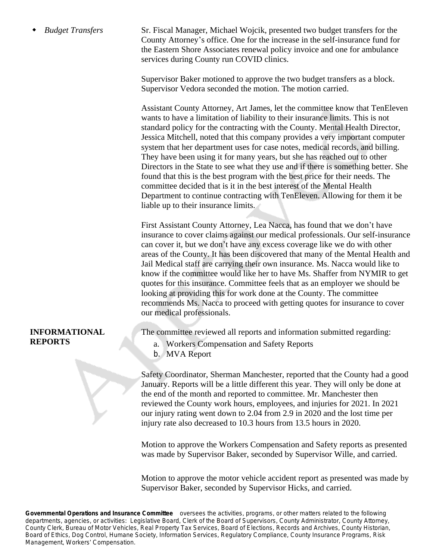*Budget Transfers* Sr. Fiscal Manager, Michael Wojcik, presented two budget transfers for the County Attorney's office. One for the increase in the self-insurance fund for the Eastern Shore Associates renewal policy invoice and one for ambulance services during County run COVID clinics.

> Supervisor Baker motioned to approve the two budget transfers as a block. Supervisor Vedora seconded the motion. The motion carried.

Assistant County Attorney, Art James, let the committee know that TenEleven wants to have a limitation of liability to their insurance limits. This is not standard policy for the contracting with the County. Mental Health Director, Jessica Mitchell, noted that this company provides a very important computer system that her department uses for case notes, medical records, and billing. They have been using it for many years, but she has reached out to other Directors in the State to see what they use and if there is something better. She found that this is the best program with the best price for their needs. The committee decided that is it in the best interest of the Mental Health Department to continue contracting with TenEleven. Allowing for them it be liable up to their insurance limits.

First Assistant County Attorney, Lea Nacca, has found that we don't have insurance to cover claims against our medical professionals. Our self-insurance can cover it, but we don't have any excess coverage like we do with other areas of the County. It has been discovered that many of the Mental Health and Jail Medical staff are carrying their own insurance. Ms. Nacca would like to know if the committee would like her to have Ms. Shaffer from NYMIR to get quotes for this insurance. Committee feels that as an employer we should be looking at providing this for work done at the County. The committee recommends Ms. Nacca to proceed with getting quotes for insurance to cover our medical professionals.

#### **INFORMATIONAL REPORTS**

The committee reviewed all reports and information submitted regarding:

- a. Workers Compensation and Safety Reports
- b. MVA Report

Safety Coordinator, Sherman Manchester, reported that the County had a good January. Reports will be a little different this year. They will only be done at the end of the month and reported to committee. Mr. Manchester then reviewed the County work hours, employees, and injuries for 2021. In 2021 our injury rating went down to 2.04 from 2.9 in 2020 and the lost time per injury rate also decreased to 10.3 hours from 13.5 hours in 2020.

Motion to approve the Workers Compensation and Safety reports as presented was made by Supervisor Baker, seconded by Supervisor Wille, and carried.

Motion to approve the motor vehicle accident report as presented was made by Supervisor Baker, seconded by Supervisor Hicks, and carried.

**Governmental Operations and Insurance Committee** oversees the activities, programs, or other matters related to the following departments, agencies, or activities: *Legislative Board, Clerk of the Board of Supervisors, County Administrator, County Attorney, County Clerk, Bureau of Motor Vehicles, Real Property Tax Services, Board of Elections, Records and Archives, County Historian, Board of Ethics, Dog Control, Humane Society, Information Services, Regulatory Compliance, County Insurance Programs, Risk Management, Workers*' *Compensation.*